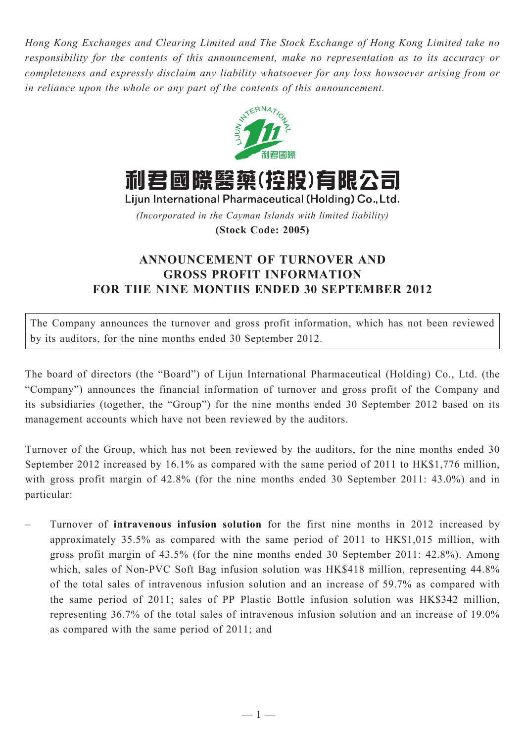*Hong Kong Exchanges and Clearing Limited and The Stock Exchange of Hong Kong Limited take no responsibility for the contents of this announcement, make no representation as to its accuracy or completeness and expressly disclaim any liability whatsoever for any loss howsoever arising from or in reliance upon the whole or any part of the contents of this announcement.*



利君國際醫藥(控股)有限公司

Lijun International Pharmaceutical (Holding) Co., Ltd.

*(Incorporated in the Cayman Islands with limited liability)*

**(Stock Code: 2005)**

## **ANNOUNCEMENT OF TURNOVER AND GROSS PROFIT INFORMATION FOR THE nine MONTHS ENDED 30 september 2012**

The Company announces the turnover and gross profit information, which has not been reviewed by its auditors, for the nine months ended 30 September 2012.

The board of directors (the "Board") of Lijun International Pharmaceutical (Holding) Co., Ltd. (the "Company") announces the financial information of turnover and gross profit of the Company and its subsidiaries (together, the "Group") for the nine months ended 30 September 2012 based on its management accounts which have not been reviewed by the auditors.

Turnover of the Group, which has not been reviewed by the auditors, for the nine months ended 30 September 2012 increased by 16.1% as compared with the same period of 2011 to HK\$1,776 million, with gross profit margin of 42.8% (for the nine months ended 30 September 2011: 43.0%) and in particular:

– Turnover of **intravenous infusion solution** for the first nine months in 2012 increased by approximately 35.5% as compared with the same period of 2011 to HK\$1,015 million, with gross profit margin of 43.5% (for the nine months ended 30 September 2011: 42.8%). Among which, sales of Non-PVC Soft Bag infusion solution was HK\$418 million, representing 44.8% of the total sales of intravenous infusion solution and an increase of 59.7% as compared with the same period of 2011; sales of PP Plastic Bottle infusion solution was HK\$342 million, representing 36.7% of the total sales of intravenous infusion solution and an increase of 19.0% as compared with the same period of 2011; and